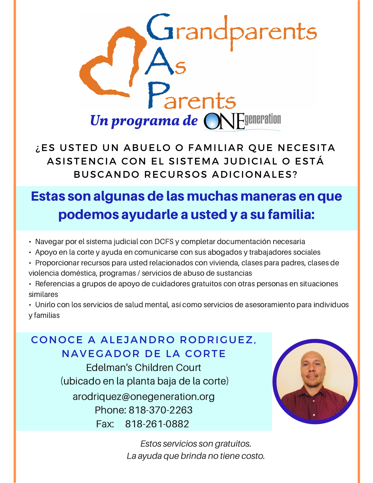

¿ES USTED UN ABUELO O FAMILIAR QUE NECESITA ASISTENCIA CON EL SISTEMA JUDICIAL O ESTÁ BUSCANDO RECURSOS ADICIONALES?

## Estas son algunas de las muchas maneras en que podemos ayudarle a usted y a su familia:

- Navegar por el sistema judicial con DCFS y completar documentación necesaria
- Apoyo en la corte y ayuda en comunicarse con sus abogados y trabajadores sociales
- Proporcionar recursos para usted relacionados con vivienda, clases para padres, clases de violencia doméstica, programas / servicios de abuso de sustancias
- Referencias a grupos de apoyo de cuidadores gratuitos con otras personas en situaciones similares

• Unirlo con los servicios de salud mental, así como servicios de asesoramiento para individuos y familias

## CONOCE A ALEJANDRO RODRIGUEZ, NAVEGADOR DE LA CORTE

arodriquez@onegeneration.org Phone: 818-370-2263 Fax: 818-261-0882 Edelman's Children Court (ubicado en la planta baja de la corte)



*Estos servicios son gratuitos. La ayuda que brinda no tiene costo.*